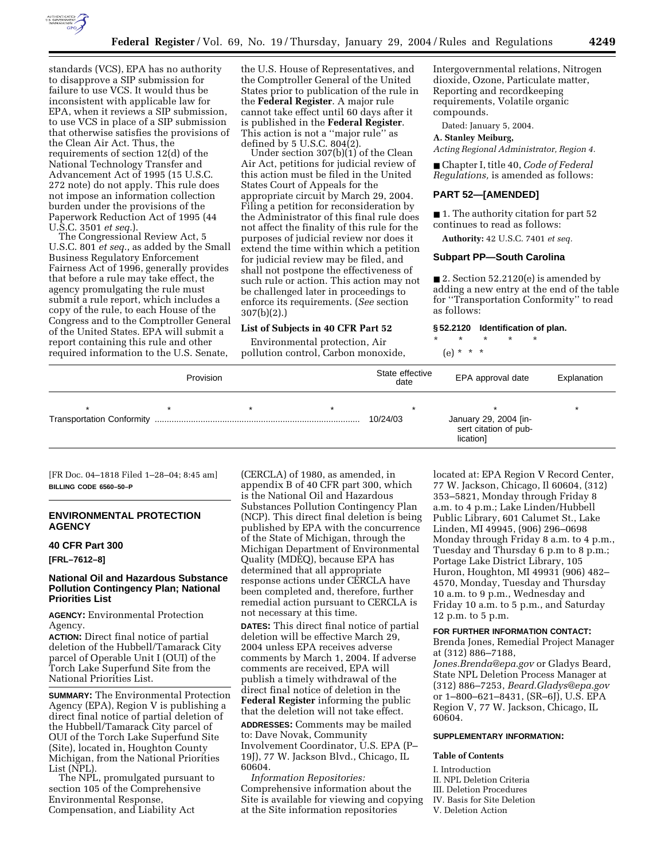

standards (VCS), EPA has no authority to disapprove a SIP submission for failure to use VCS. It would thus be inconsistent with applicable law for EPA, when it reviews a SIP submission, to use VCS in place of a SIP submission that otherwise satisfies the provisions of the Clean Air Act. Thus, the requirements of section 12(d) of the National Technology Transfer and Advancement Act of 1995 (15 U.S.C. 272 note) do not apply. This rule does not impose an information collection burden under the provisions of the Paperwork Reduction Act of 1995 (44 U.S.C. 3501 *et seq.*).

The Congressional Review Act, 5 U.S.C. 801 *et seq.*, as added by the Small Business Regulatory Enforcement Fairness Act of 1996, generally provides that before a rule may take effect, the agency promulgating the rule must submit a rule report, which includes a copy of the rule, to each House of the Congress and to the Comptroller General of the United States. EPA will submit a report containing this rule and other required information to the U.S. Senate,

the U.S. House of Representatives, and the Comptroller General of the United States prior to publication of the rule in the **Federal Register**. A major rule cannot take effect until 60 days after it is published in the **Federal Register**. This action is not a "major rule" as<br>defined by 5 U.S.C. 804(2).

Under section  $307(b)(1)$  of the Clean Air Act, petitions for judicial review of this action must be filed in the United States Court of Appeals for the appropriate circuit by March 29, 2004. Filing a petition for reconsideration by the Administrator of this final rule does not affect the finality of this rule for the purposes of judicial review nor does it extend the time within which a petition for judicial review may be filed, and shall not postpone the effectiveness of such rule or action. This action may not be challenged later in proceedings to enforce its requirements. (*See* section 307(b)(2).)

#### **List of Subjects in 40 CFR Part 52**

Environmental protection, Air pollution control, Carbon monoxide, Intergovernmental relations, Nitrogen dioxide, Ozone, Particulate matter, Reporting and recordkeeping requirements, Volatile organic compounds.

Dated: January 5, 2004.

**A. Stanley Meiburg,** 

*Acting Regional Administrator, Region 4.*

■ Chapter I, title 40, *Code of Federal Regulations,* is amended as follows:

### **PART 52—[AMENDED]**

■ 1. The authority citation for part 52 continues to read as follows:

**Authority:** 42 U.S.C. 7401 *et seq.*

### **Subpart PP—South Carolina**

 $\blacksquare$  2. Section 52.2120(e) is amended by adding a new entry at the end of the table for ''Transportation Conformity'' to read as follows:

#### **§ 52.2120 Identification of plan.**

\* \* \* \* \* (e) \* \* \*

| Provision |  | State effective<br>date | EPA approval date | Explanation                                                 |   |
|-----------|--|-------------------------|-------------------|-------------------------------------------------------------|---|
|           |  |                         | 10/24/03          | January 29, 2004 [in-<br>sert citation of pub-<br>lication] | × |

[FR Doc. 04–1818 Filed 1–28–04; 8:45 am] **BILLING CODE 6560–50–P**

# **ENVIRONMENTAL PROTECTION AGENCY**

# **40 CFR Part 300**

**[FRL–7612–8]** 

# **National Oil and Hazardous Substance Pollution Contingency Plan; National Priorities List**

**AGENCY:** Environmental Protection Agency.

**ACTION:** Direct final notice of partial deletion of the Hubbell/Tamarack City parcel of Operable Unit I (OUI) of the Torch Lake Superfund Site from the National Priorities List.

**SUMMARY:** The Environmental Protection Agency (EPA), Region V is publishing a direct final notice of partial deletion of the Hubbell/Tamarack City parcel of OUI of the Torch Lake Superfund Site (Site), located in, Houghton County Michigan, from the National Priorities List (NPL).

The NPL, promulgated pursuant to section 105 of the Comprehensive Environmental Response, Compensation, and Liability Act

(CERCLA) of 1980, as amended, in appendix B of 40 CFR part 300, which is the National Oil and Hazardous Substances Pollution Contingency Plan (NCP). This direct final deletion is being published by EPA with the concurrence of the State of Michigan, through the Michigan Department of Environmental Quality (MDEQ), because EPA has determined that all appropriate response actions under CERCLA have been completed and, therefore, further remedial action pursuant to CERCLA is not necessary at this time.

**DATES:** This direct final notice of partial deletion will be effective March 29, 2004 unless EPA receives adverse comments by March 1, 2004. If adverse comments are received, EPA will publish a timely withdrawal of the direct final notice of deletion in the **Federal Register** informing the public that the deletion will not take effect.

**ADDRESSES:** Comments may be mailed to: Dave Novak, Community Involvement Coordinator, U.S. EPA (P– 19J), 77 W. Jackson Blvd., Chicago, IL 60604.

*Information Repositories:* Comprehensive information about the Site is available for viewing and copying at the Site information repositories

located at: EPA Region V Record Center, 77 W. Jackson, Chicago, Il 60604, (312) 353–5821, Monday through Friday 8 a.m. to 4 p.m.; Lake Linden/Hubbell Public Library, 601 Calumet St., Lake Linden, MI 49945, (906) 296–0698 Monday through Friday 8 a.m. to 4 p.m., Tuesday and Thursday 6 p.m to 8 p.m.; Portage Lake District Library, 105 Huron, Houghton, MI 49931 (906) 482– 4570, Monday, Tuesday and Thursday 10 a.m. to 9 p.m., Wednesday and Friday 10 a.m. to 5 p.m., and Saturday 12 p.m. to 5 p.m.

# **FOR FURTHER INFORMATION CONTACT:**

Brenda Jones, Remedial Project Manager at (312) 886–7188,

*Jones.Brenda@epa.gov* or Gladys Beard, State NPL Deletion Process Manager at (312) 886–7253, *Beard.Gladys@epa.gov* or 1–800–621–8431, (SR–6J), U.S. EPA Region V, 77 W. Jackson, Chicago, IL 60604.

#### **SUPPLEMENTARY INFORMATION:**

#### **Table of Contents**

- I. Introduction
- II. NPL Deletion Criteria
- III. Deletion Procedures
- IV. Basis for Site Deletion
- V. Deletion Action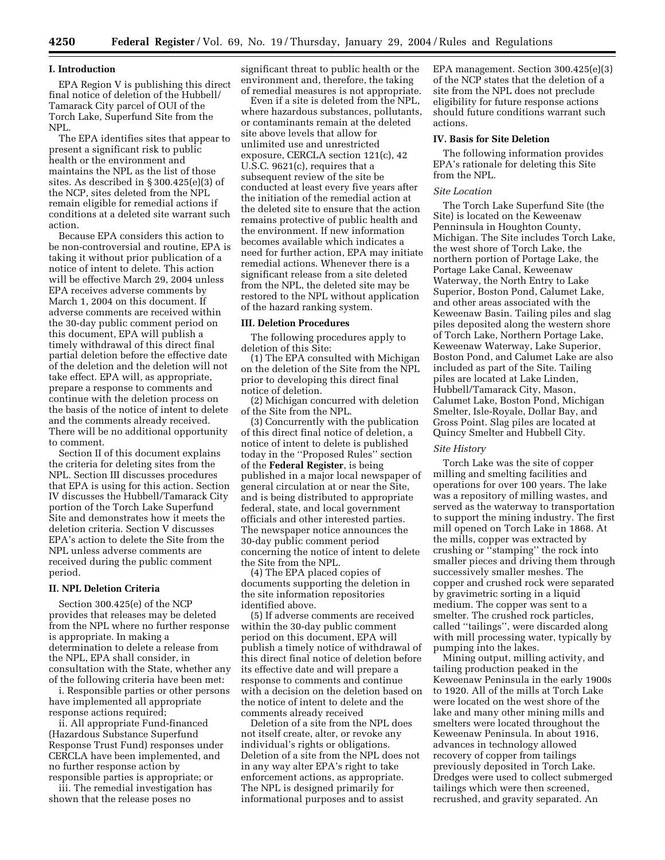# **I. Introduction**

EPA Region V is publishing this direct final notice of deletion of the Hubbell/ Tamarack City parcel of OUI of the Torch Lake, Superfund Site from the NPL.

The EPA identifies sites that appear to present a significant risk to public health or the environment and maintains the NPL as the list of those sites. As described in § 300.425(e)(3) of the NCP, sites deleted from the NPL remain eligible for remedial actions if conditions at a deleted site warrant such action.

Because EPA considers this action to be non-controversial and routine, EPA is taking it without prior publication of a notice of intent to delete. This action will be effective March 29, 2004 unless EPA receives adverse comments by March 1, 2004 on this document. If adverse comments are received within the 30-day public comment period on this document, EPA will publish a timely withdrawal of this direct final partial deletion before the effective date of the deletion and the deletion will not take effect. EPA will, as appropriate, prepare a response to comments and continue with the deletion process on the basis of the notice of intent to delete and the comments already received. There will be no additional opportunity to comment.

Section II of this document explains the criteria for deleting sites from the NPL. Section III discusses procedures that EPA is using for this action. Section IV discusses the Hubbell/Tamarack City portion of the Torch Lake Superfund Site and demonstrates how it meets the deletion criteria. Section V discusses EPA's action to delete the Site from the NPL unless adverse comments are received during the public comment period.

# **II. NPL Deletion Criteria**

Section 300.425(e) of the NCP provides that releases may be deleted from the NPL where no further response is appropriate. In making a determination to delete a release from the NPL, EPA shall consider, in consultation with the State, whether any of the following criteria have been met:

i. Responsible parties or other persons have implemented all appropriate response actions required;

ii. All appropriate Fund-financed (Hazardous Substance Superfund Response Trust Fund) responses under CERCLA have been implemented, and no further response action by

responsible parties is appropriate; or iii. The remedial investigation has shown that the release poses no

significant threat to public health or the environment and, therefore, the taking of remedial measures is not appropriate.

Even if a site is deleted from the NPL, where hazardous substances, pollutants, or contaminants remain at the deleted site above levels that allow for unlimited use and unrestricted exposure, CERCLA section 121(c), 42 U.S.C. 9621(c), requires that a subsequent review of the site be conducted at least every five years after the initiation of the remedial action at the deleted site to ensure that the action remains protective of public health and the environment. If new information becomes available which indicates a need for further action, EPA may initiate remedial actions. Whenever there is a significant release from a site deleted from the NPL, the deleted site may be restored to the NPL without application of the hazard ranking system.

#### **III. Deletion Procedures**

The following procedures apply to deletion of this Site:

(1) The EPA consulted with Michigan on the deletion of the Site from the NPL prior to developing this direct final notice of deletion.

(2) Michigan concurred with deletion of the Site from the NPL.

(3) Concurrently with the publication of this direct final notice of deletion, a notice of intent to delete is published today in the ''Proposed Rules'' section of the **Federal Register**, is being published in a major local newspaper of general circulation at or near the Site, and is being distributed to appropriate federal, state, and local government officials and other interested parties. The newspaper notice announces the 30-day public comment period concerning the notice of intent to delete the Site from the NPL.

(4) The EPA placed copies of documents supporting the deletion in the site information repositories identified above.

(5) If adverse comments are received within the 30-day public comment period on this document, EPA will publish a timely notice of withdrawal of this direct final notice of deletion before its effective date and will prepare a response to comments and continue with a decision on the deletion based on the notice of intent to delete and the comments already received

Deletion of a site from the NPL does not itself create, alter, or revoke any individual's rights or obligations. Deletion of a site from the NPL does not in any way alter EPA's right to take enforcement actions, as appropriate. The NPL is designed primarily for informational purposes and to assist

EPA management. Section 300.425(e)(3) of the NCP states that the deletion of a site from the NPL does not preclude eligibility for future response actions should future conditions warrant such actions.

#### **IV. Basis for Site Deletion**

The following information provides EPA's rationale for deleting this Site from the NPL.

# *Site Location*

The Torch Lake Superfund Site (the Site) is located on the Keweenaw Penninsula in Houghton County, Michigan. The Site includes Torch Lake, the west shore of Torch Lake, the northern portion of Portage Lake, the Portage Lake Canal, Keweenaw Waterway, the North Entry to Lake Superior, Boston Pond, Calumet Lake, and other areas associated with the Keweenaw Basin. Tailing piles and slag piles deposited along the western shore of Torch Lake, Northern Portage Lake, Keweenaw Waterway, Lake Superior, Boston Pond, and Calumet Lake are also included as part of the Site. Tailing piles are located at Lake Linden, Hubbell/Tamarack City, Mason, Calumet Lake, Boston Pond, Michigan Smelter, Isle-Royale, Dollar Bay, and Gross Point. Slag piles are located at Quincy Smelter and Hubbell City.

# *Site History*

Torch Lake was the site of copper milling and smelting facilities and operations for over 100 years. The lake was a repository of milling wastes, and served as the waterway to transportation to support the mining industry. The first mill opened on Torch Lake in 1868. At the mills, copper was extracted by crushing or ''stamping'' the rock into smaller pieces and driving them through successively smaller meshes. The copper and crushed rock were separated by gravimetric sorting in a liquid medium. The copper was sent to a smelter. The crushed rock particles, called ''tailings'', were discarded along with mill processing water, typically by pumping into the lakes.

Mining output, milling activity, and tailing production peaked in the Keweenaw Peninsula in the early 1900s to 1920. All of the mills at Torch Lake were located on the west shore of the lake and many other mining mills and smelters were located throughout the Keweenaw Peninsula. In about 1916, advances in technology allowed recovery of copper from tailings previously deposited in Torch Lake. Dredges were used to collect submerged tailings which were then screened, recrushed, and gravity separated. An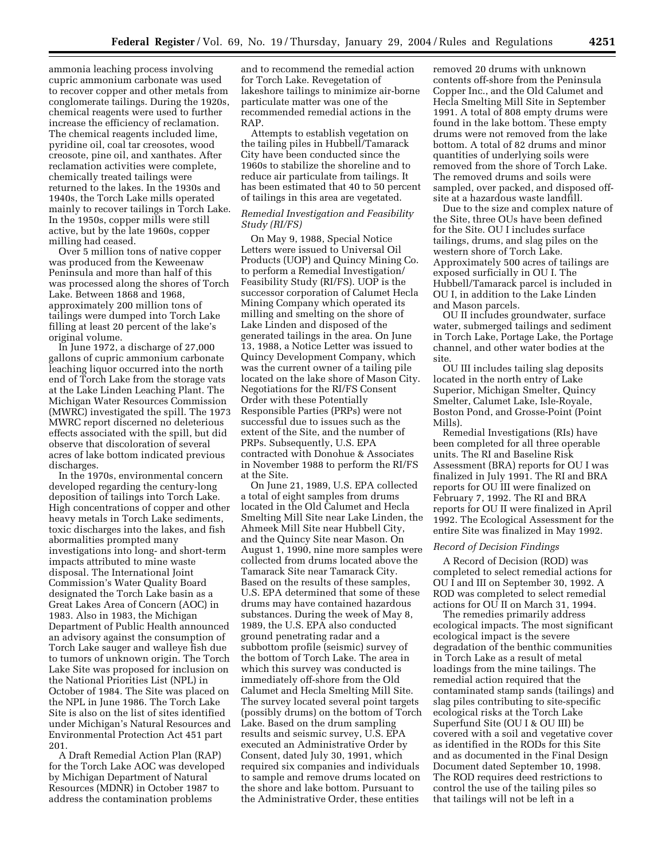ammonia leaching process involving cupric ammonium carbonate was used to recover copper and other metals from conglomerate tailings. During the 1920s, chemical reagents were used to further increase the efficiency of reclamation. The chemical reagents included lime, pyridine oil, coal tar creosotes, wood creosote, pine oil, and xanthates. After reclamation activities were complete, chemically treated tailings were returned to the lakes. In the 1930s and 1940s, the Torch Lake mills operated mainly to recover tailings in Torch Lake. In the 1950s, copper mills were still active, but by the late 1960s, copper milling had ceased.

Over 5 million tons of native copper was produced from the Keweenaw Peninsula and more than half of this was processed along the shores of Torch Lake. Between 1868 and 1968, approximately 200 million tons of tailings were dumped into Torch Lake filling at least 20 percent of the lake's original volume.

In June 1972, a discharge of 27,000 gallons of cupric ammonium carbonate leaching liquor occurred into the north end of Torch Lake from the storage vats at the Lake Linden Leaching Plant. The Michigan Water Resources Commission (MWRC) investigated the spill. The 1973 MWRC report discerned no deleterious effects associated with the spill, but did observe that discoloration of several acres of lake bottom indicated previous discharges.

In the 1970s, environmental concern developed regarding the century-long deposition of tailings into Torch Lake. High concentrations of copper and other heavy metals in Torch Lake sediments, toxic discharges into the lakes, and fish abormalities prompted many investigations into long- and short-term impacts attributed to mine waste disposal. The International Joint Commission's Water Quality Board designated the Torch Lake basin as a Great Lakes Area of Concern (AOC) in 1983. Also in 1983, the Michigan Department of Public Health announced an advisory against the consumption of Torch Lake sauger and walleye fish due to tumors of unknown origin. The Torch Lake Site was proposed for inclusion on the National Priorities List (NPL) in October of 1984. The Site was placed on the NPL in June 1986. The Torch Lake Site is also on the list of sites identified under Michigan's Natural Resources and Environmental Protection Act 451 part 201.

A Draft Remedial Action Plan (RAP) for the Torch Lake AOC was developed by Michigan Department of Natural Resources (MDNR) in October 1987 to address the contamination problems

and to recommend the remedial action for Torch Lake. Revegetation of lakeshore tailings to minimize air-borne particulate matter was one of the recommended remedial actions in the RAP.

Attempts to establish vegetation on the tailing piles in Hubbell/Tamarack City have been conducted since the 1960s to stabilize the shoreline and to reduce air particulate from tailings. It has been estimated that 40 to 50 percent of tailings in this area are vegetated.

# *Remedial Investigation and Feasibility Study (RI/FS)*

On May 9, 1988, Special Notice Letters were issued to Universal Oil Products (UOP) and Quincy Mining Co. to perform a Remedial Investigation/ Feasibility Study (RI/FS). UOP is the successor corporation of Calumet Hecla Mining Company which operated its milling and smelting on the shore of Lake Linden and disposed of the generated tailings in the area. On June 13, 1988, a Notice Letter was issued to Quincy Development Company, which was the current owner of a tailing pile located on the lake shore of Mason City. Negotiations for the RI/FS Consent Order with these Potentially Responsible Parties (PRPs) were not successful due to issues such as the extent of the Site, and the number of PRPs. Subsequently, U.S. EPA contracted with Donohue & Associates in November 1988 to perform the RI/FS at the Site.

On June 21, 1989, U.S. EPA collected a total of eight samples from drums located in the Old Calumet and Hecla Smelting Mill Site near Lake Linden, the Ahmeek Mill Site near Hubbell City, and the Quincy Site near Mason. On August 1, 1990, nine more samples were collected from drums located above the Tamarack Site near Tamarack City. Based on the results of these samples, U.S. EPA determined that some of these drums may have contained hazardous substances. During the week of May 8, 1989, the U.S. EPA also conducted ground penetrating radar and a subbottom profile (seismic) survey of the bottom of Torch Lake. The area in which this survey was conducted is immediately off-shore from the Old Calumet and Hecla Smelting Mill Site. The survey located several point targets (possibly drums) on the bottom of Torch Lake. Based on the drum sampling results and seismic survey, U.S. EPA executed an Administrative Order by Consent, dated July 30, 1991, which required six companies and individuals to sample and remove drums located on the shore and lake bottom. Pursuant to the Administrative Order, these entities

removed 20 drums with unknown contents off-shore from the Peninsula Copper Inc., and the Old Calumet and Hecla Smelting Mill Site in September 1991. A total of 808 empty drums were found in the lake bottom. These empty drums were not removed from the lake bottom. A total of 82 drums and minor quantities of underlying soils were removed from the shore of Torch Lake. The removed drums and soils were sampled, over packed, and disposed offsite at a hazardous waste landfill.

Due to the size and complex nature of the Site, three OUs have been defined for the Site. OU I includes surface tailings, drums, and slag piles on the western shore of Torch Lake. Approximately 500 acres of tailings are exposed surficially in OU I. The Hubbell/Tamarack parcel is included in OU I, in addition to the Lake Linden and Mason parcels.

OU II includes groundwater, surface water, submerged tailings and sediment in Torch Lake, Portage Lake, the Portage channel, and other water bodies at the site.

OU III includes tailing slag deposits located in the north entry of Lake Superior, Michigan Smelter, Quincy Smelter, Calumet Lake, Isle-Royale, Boston Pond, and Grosse-Point (Point Mills).

Remedial Investigations (RIs) have been completed for all three operable units. The RI and Baseline Risk Assessment (BRA) reports for OU I was finalized in July 1991. The RI and BRA reports for OU III were finalized on February 7, 1992. The RI and BRA reports for OU II were finalized in April 1992. The Ecological Assessment for the entire Site was finalized in May 1992.

#### *Record of Decision Findings*

A Record of Decision (ROD) was completed to select remedial actions for OU I and III on September 30, 1992. A ROD was completed to select remedial actions for OU II on March 31, 1994.

The remedies primarily address ecological impacts. The most significant ecological impact is the severe degradation of the benthic communities in Torch Lake as a result of metal loadings from the mine tailings. The remedial action required that the contaminated stamp sands (tailings) and slag piles contributing to site-specific ecological risks at the Torch Lake Superfund Site (OU I & OU III) be covered with a soil and vegetative cover as identified in the RODs for this Site and as documented in the Final Design Document dated September 10, 1998. The ROD requires deed restrictions to control the use of the tailing piles so that tailings will not be left in a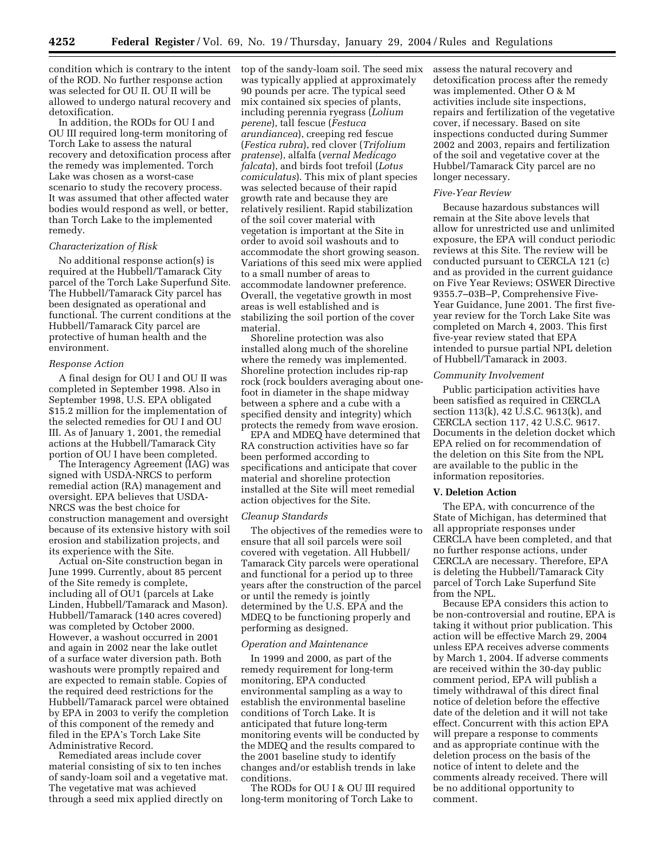condition which is contrary to the intent of the ROD. No further response action was selected for OU II. OU II will be allowed to undergo natural recovery and detoxification.

In addition, the RODs for OU I and OU III required long-term monitoring of Torch Lake to assess the natural recovery and detoxification process after the remedy was implemented. Torch Lake was chosen as a worst-case scenario to study the recovery process. It was assumed that other affected water bodies would respond as well, or better, than Torch Lake to the implemented remedy.

#### *Characterization of Risk*

No additional response action(s) is required at the Hubbell/Tamarack City parcel of the Torch Lake Superfund Site. The Hubbell/Tamarack City parcel has been designated as operational and functional. The current conditions at the Hubbell/Tamarack City parcel are protective of human health and the environment.

#### *Response Action*

A final design for OU I and OU II was completed in September 1998. Also in September 1998, U.S. EPA obligated \$15.2 million for the implementation of the selected remedies for OU I and OU III. As of January 1, 2001, the remedial actions at the Hubbell/Tamarack City portion of OU I have been completed.

The Interagency Agreement (IAG) was signed with USDA-NRCS to perform remedial action (RA) management and oversight. EPA believes that USDA-NRCS was the best choice for construction management and oversight because of its extensive history with soil erosion and stabilization projects, and its experience with the Site.

Actual on-Site construction began in June 1999. Currently, about 85 percent of the Site remedy is complete, including all of OU1 (parcels at Lake Linden, Hubbell/Tamarack and Mason). Hubbell/Tamarack (140 acres covered) was completed by October 2000. However, a washout occurred in 2001 and again in 2002 near the lake outlet of a surface water diversion path. Both washouts were promptly repaired and are expected to remain stable. Copies of the required deed restrictions for the Hubbell/Tamarack parcel were obtained by EPA in 2003 to verify the completion of this component of the remedy and filed in the EPA's Torch Lake Site Administrative Record.

Remediated areas include cover material consisting of six to ten inches of sandy-loam soil and a vegetative mat. The vegetative mat was achieved through a seed mix applied directly on

top of the sandy-loam soil. The seed mix was typically applied at approximately 90 pounds per acre. The typical seed mix contained six species of plants, including perennia ryegrass (*Lolium perene*), tall fescue (*Festuca arundiancea*), creeping red fescue (*Festica rubra*), red clover (*Trifolium pratense*), alfalfa (*vernal Medicago falcata*), and birds foot trefoil (*Lotus comiculatus*). This mix of plant species was selected because of their rapid growth rate and because they are relatively resilient. Rapid stabilization of the soil cover material with vegetation is important at the Site in order to avoid soil washouts and to accommodate the short growing season. Variations of this seed mix were applied to a small number of areas to accommodate landowner preference. Overall, the vegetative growth in most areas is well established and is stabilizing the soil portion of the cover material.

Shoreline protection was also installed along much of the shoreline where the remedy was implemented. Shoreline protection includes rip-rap rock (rock boulders averaging about onefoot in diameter in the shape midway between a sphere and a cube with a specified density and integrity) which protects the remedy from wave erosion.

EPA and MDEQ have determined that RA construction activities have so far been performed according to specifications and anticipate that cover material and shoreline protection installed at the Site will meet remedial action objectives for the Site.

#### *Cleanup Standards*

The objectives of the remedies were to ensure that all soil parcels were soil covered with vegetation. All Hubbell/ Tamarack City parcels were operational and functional for a period up to three years after the construction of the parcel or until the remedy is jointly determined by the U.S. EPA and the MDEQ to be functioning properly and performing as designed.

#### *Operation and Maintenance*

In 1999 and 2000, as part of the remedy requirement for long-term monitoring, EPA conducted environmental sampling as a way to establish the environmental baseline conditions of Torch Lake. It is anticipated that future long-term monitoring events will be conducted by the MDEQ and the results compared to the 2001 baseline study to identify changes and/or establish trends in lake conditions.

The RODs for OU I & OU III required long-term monitoring of Torch Lake to

assess the natural recovery and detoxification process after the remedy was implemented. Other O & M activities include site inspections, repairs and fertilization of the vegetative cover, if necessary. Based on site inspections conducted during Summer 2002 and 2003, repairs and fertilization of the soil and vegetative cover at the Hubbel/Tamarack City parcel are no longer necessary.

#### *Five-Year Review*

Because hazardous substances will remain at the Site above levels that allow for unrestricted use and unlimited exposure, the EPA will conduct periodic reviews at this Site. The review will be conducted pursuant to CERCLA 121 (c) and as provided in the current guidance on Five Year Reviews; OSWER Directive 9355.7–03B–P, Comprehensive Five-Year Guidance, June 2001. The first fiveyear review for the Torch Lake Site was completed on March 4, 2003. This first five-year review stated that EPA intended to pursue partial NPL deletion of Hubbell/Tamarack in 2003.

# *Community Involvement*

Public participation activities have been satisfied as required in CERCLA section 113(k), 42 U.S.C. 9613(k), and CERCLA section 117, 42 U.S.C. 9617. Documents in the deletion docket which EPA relied on for recommendation of the deletion on this Site from the NPL are available to the public in the information repositories.

#### **V. Deletion Action**

The EPA, with concurrence of the State of Michigan, has determined that all appropriate responses under CERCLA have been completed, and that no further response actions, under CERCLA are necessary. Therefore, EPA is deleting the Hubbell/Tamarack City parcel of Torch Lake Superfund Site from the NPL.

Because EPA considers this action to be non-controversial and routine, EPA is taking it without prior publication. This action will be effective March 29, 2004 unless EPA receives adverse comments by March 1, 2004. If adverse comments are received within the 30-day public comment period, EPA will publish a timely withdrawal of this direct final notice of deletion before the effective date of the deletion and it will not take effect. Concurrent with this action EPA will prepare a response to comments and as appropriate continue with the deletion process on the basis of the notice of intent to delete and the comments already received. There will be no additional opportunity to comment.